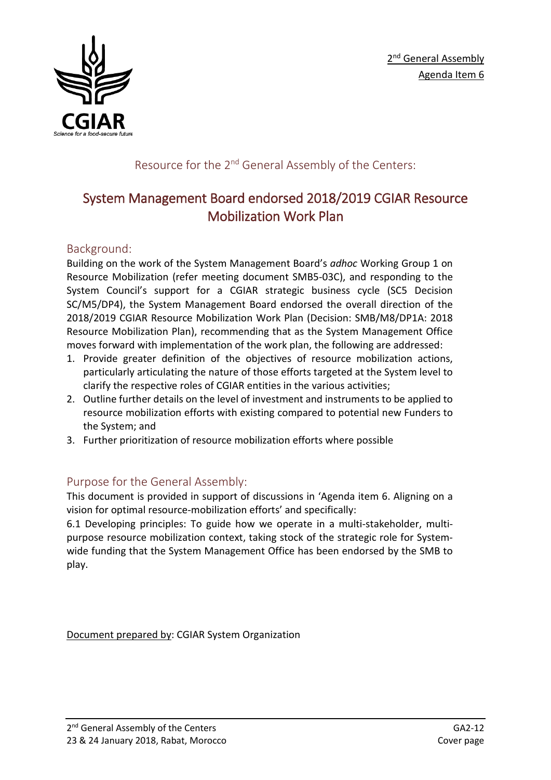

Resource for the 2<sup>nd</sup> General Assembly of the Centers:

# System Management Board endorsed 2018/2019 CGIAR Resource Mobilization Work Plan

### Background:

Building on the work of the System Management Board's *adhoc* Working Group 1 on Resource Mobilization (refer meeting document SMB5-03C), and responding to the System Council's support for a CGIAR strategic business cycle (SC5 Decision SC/M5/DP4), the System Management Board endorsed the overall direction of the 2018/2019 CGIAR Resource Mobilization Work Plan (Decision: SMB/M8/DP1A: 2018 Resource Mobilization Plan), recommending that as the System Management Office moves forward with implementation of the work plan, the following are addressed:

- 1. Provide greater definition of the objectives of resource mobilization actions, particularly articulating the nature of those efforts targeted at the System level to clarify the respective roles of CGIAR entities in the various activities;
- 2. Outline further details on the level of investment and instruments to be applied to resource mobilization efforts with existing compared to potential new Funders to the System; and
- 3. Further prioritization of resource mobilization efforts where possible

### Purpose for the General Assembly:

This document is provided in support of discussions in 'Agenda item 6. Aligning on a vision for optimal resource-mobilization efforts' and specifically:

6.1 Developing principles: To guide how we operate in a multi-stakeholder, multipurpose resource mobilization context, taking stock of the strategic role for Systemwide funding that the System Management Office has been endorsed by the SMB to play.

Document prepared by: CGIAR System Organization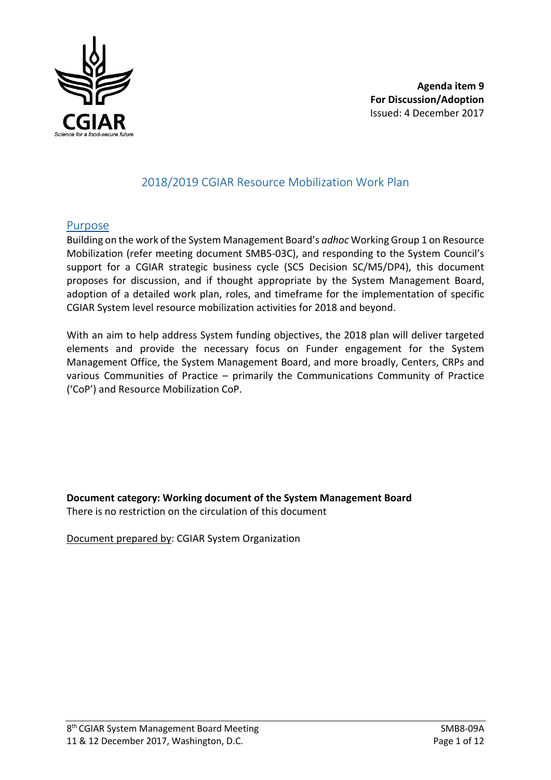

#### 2018/2019 CGIAR Resource Mobilization Work Plan

#### Purpose

Building on the work of the System Management Board's *adhoc* Working Group 1 on Resource Mobilization (refer meeting document SMB5-03C), and responding to the System Council's support for a CGIAR strategic business cycle (SC5 Decision SC/M5/DP4), this document proposes for discussion, and if thought appropriate by the System Management Board, adoption of a detailed work plan, roles, and timeframe for the implementation of specific CGIAR System level resource mobilization activities for 2018 and beyond.

With an aim to help address System funding objectives, the 2018 plan will deliver targeted elements and provide the necessary focus on Funder engagement for the System Management Office, the System Management Board, and more broadly, Centers, CRPs and various Communities of Practice – primarily the Communications Community of Practice ('CoP') and Resource Mobilization CoP.

**Document category: Working document of the System Management Board** There is no restriction on the circulation of this document

Document prepared by: CGIAR System Organization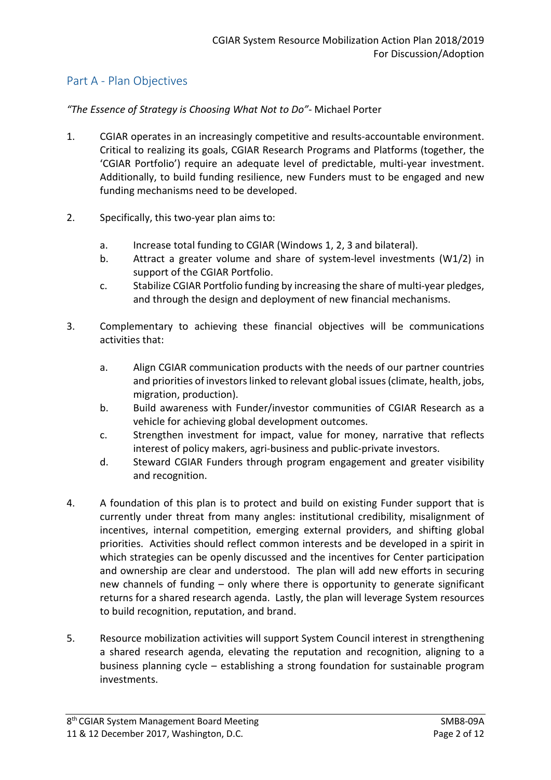### Part A - Plan Objectives

#### *"The Essence of Strategy is Choosing What Not to Do"-* Michael Porter

- 1. CGIAR operates in an increasingly competitive and results-accountable environment. Critical to realizing its goals, CGIAR Research Programs and Platforms (together, the 'CGIAR Portfolio') require an adequate level of predictable, multi-year investment. Additionally, to build funding resilience, new Funders must to be engaged and new funding mechanisms need to be developed.
- 2. Specifically, this two-year plan aims to:
	- a. Increase total funding to CGIAR (Windows 1, 2, 3 and bilateral).
	- b. Attract a greater volume and share of system-level investments (W1/2) in support of the CGIAR Portfolio.
	- c. Stabilize CGIAR Portfolio funding by increasing the share of multi-year pledges, and through the design and deployment of new financial mechanisms.
- 3. Complementary to achieving these financial objectives will be communications activities that:
	- a. Align CGIAR communication products with the needs of our partner countries and priorities of investors linked to relevant global issues (climate, health, jobs, migration, production).
	- b. Build awareness with Funder/investor communities of CGIAR Research as a vehicle for achieving global development outcomes.
	- c. Strengthen investment for impact, value for money, narrative that reflects interest of policy makers, agri-business and public-private investors.
	- d. Steward CGIAR Funders through program engagement and greater visibility and recognition.
- 4. A foundation of this plan is to protect and build on existing Funder support that is currently under threat from many angles: institutional credibility, misalignment of incentives, internal competition, emerging external providers, and shifting global priorities. Activities should reflect common interests and be developed in a spirit in which strategies can be openly discussed and the incentives for Center participation and ownership are clear and understood. The plan will add new efforts in securing new channels of funding – only where there is opportunity to generate significant returns for a shared research agenda. Lastly, the plan will leverage System resources to build recognition, reputation, and brand.
- 5. Resource mobilization activities will support System Council interest in strengthening a shared research agenda, elevating the reputation and recognition, aligning to a business planning cycle – establishing a strong foundation for sustainable program investments.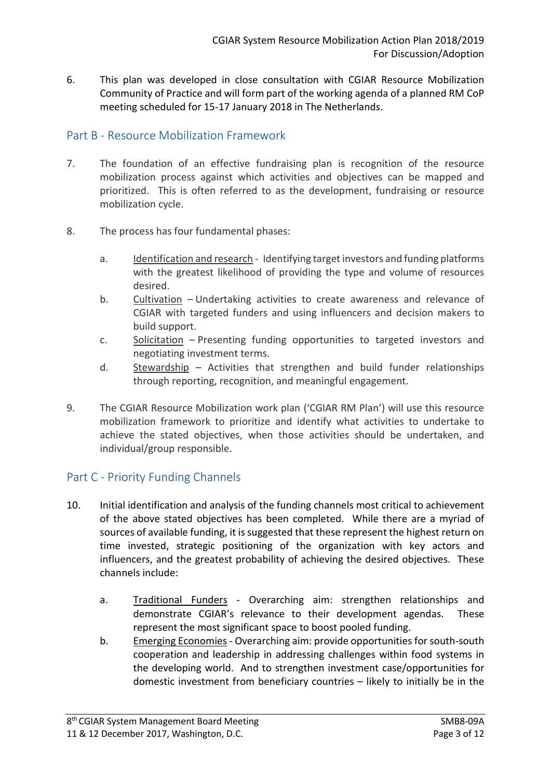6. This plan was developed in close consultation with CGIAR Resource Mobilization Community of Practice and will form part of the working agenda of a planned RM CoP meeting scheduled for 15-17 January 2018 in The Netherlands.

### Part B - Resource Mobilization Framework

- 7. The foundation of an effective fundraising plan is recognition of the resource mobilization process against which activities and objectives can be mapped and prioritized. This is often referred to as the development, fundraising or resource mobilization cycle.
- 8. The process has four fundamental phases:
	- a. Identification and research Identifying target investors and funding platforms with the greatest likelihood of providing the type and volume of resources desired.
	- b. Cultivation Undertaking activities to create awareness and relevance of CGIAR with targeted funders and using influencers and decision makers to build support.
	- c. Solicitation Presenting funding opportunities to targeted investors and negotiating investment terms.
	- d. Stewardship Activities that strengthen and build funder relationships through reporting, recognition, and meaningful engagement.
- 9. The CGIAR Resource Mobilization work plan ('CGIAR RM Plan') will use this resource mobilization framework to prioritize and identify what activities to undertake to achieve the stated objectives, when those activities should be undertaken, and individual/group responsible.

## Part C - Priority Funding Channels

- 10. Initial identification and analysis of the funding channels most critical to achievement of the above stated objectives has been completed. While there are a myriad of sources of available funding, it is suggested that these represent the highest return on time invested, strategic positioning of the organization with key actors and influencers, and the greatest probability of achieving the desired objectives. These channels include:
	- a. Traditional Funders Overarching aim: strengthen relationships and demonstrate CGIAR's relevance to their development agendas. These represent the most significant space to boost pooled funding.
	- b. Emerging Economies Overarching aim: provide opportunities for south-south cooperation and leadership in addressing challenges within food systems in the developing world. And to strengthen investment case/opportunities for domestic investment from beneficiary countries – likely to initially be in the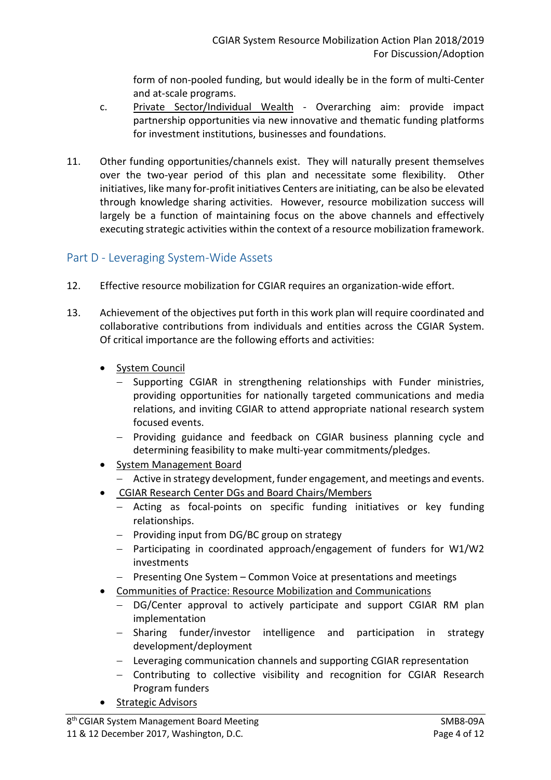form of non-pooled funding, but would ideally be in the form of multi-Center and at-scale programs.

- c. Private Sector/Individual Wealth Overarching aim: provide impact partnership opportunities via new innovative and thematic funding platforms for investment institutions, businesses and foundations.
- 11. Other funding opportunities/channels exist. They will naturally present themselves over the two-year period of this plan and necessitate some flexibility. Other initiatives, like many for-profit initiatives Centers are initiating, can be also be elevated through knowledge sharing activities. However, resource mobilization success will largely be a function of maintaining focus on the above channels and effectively executing strategic activities within the context of a resource mobilization framework.

### Part D - Leveraging System-Wide Assets

- 12. Effective resource mobilization for CGIAR requires an organization-wide effort.
- 13. Achievement of the objectives put forth in this work plan will require coordinated and collaborative contributions from individuals and entities across the CGIAR System. Of critical importance are the following efforts and activities:
	- System Council
		- Supporting CGIAR in strengthening relationships with Funder ministries, providing opportunities for nationally targeted communications and media relations, and inviting CGIAR to attend appropriate national research system focused events.
		- − Providing guidance and feedback on CGIAR business planning cycle and determining feasibility to make multi-year commitments/pledges.
	- System Management Board
		- − Active in strategy development, funder engagement, and meetings and events.
	- CGIAR Research Center DGs and Board Chairs/Members
		- − Acting as focal-points on specific funding initiatives or key funding relationships.
		- − Providing input from DG/BC group on strategy
		- − Participating in coordinated approach/engagement of funders for W1/W2 investments
		- − Presenting One System Common Voice at presentations and meetings
	- Communities of Practice: Resource Mobilization and Communications
		- − DG/Center approval to actively participate and support CGIAR RM plan implementation
		- − Sharing funder/investor intelligence and participation in strategy development/deployment
		- − Leveraging communication channels and supporting CGIAR representation
		- − Contributing to collective visibility and recognition for CGIAR Research Program funders
	- Strategic Advisors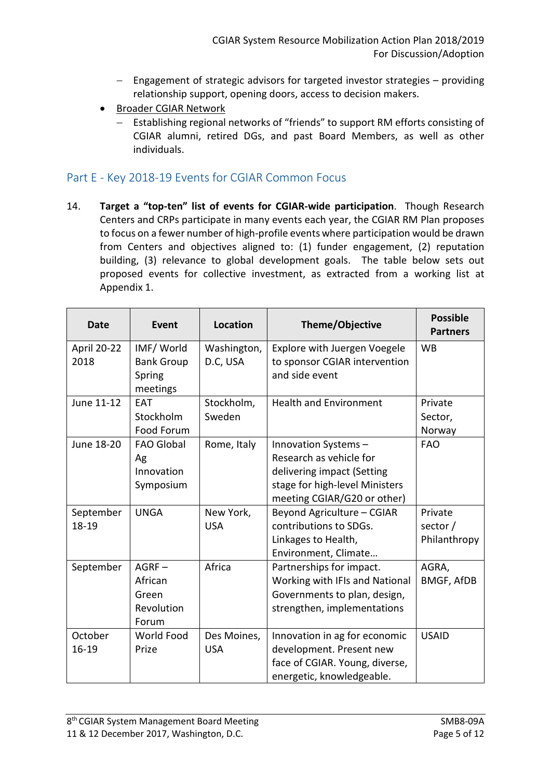- − Engagement of strategic advisors for targeted investor strategies providing relationship support, opening doors, access to decision makers.
- Broader CGIAR Network
	- Establishing regional networks of "friends" to support RM efforts consisting of CGIAR alumni, retired DGs, and past Board Members, as well as other individuals.

### Part E - Key 2018-19 Events for CGIAR Common Focus

14. **Target a "top-ten" list of events for CGIAR-wide participation**. Though Research Centers and CRPs participate in many events each year, the CGIAR RM Plan proposes to focus on a fewer number of high-profile events where participation would be drawn from Centers and objectives aligned to: (1) funder engagement, (2) reputation building, (3) relevance to global development goals. The table below sets out proposed events for collective investment, as extracted from a working list at Appendix 1.

| <b>Date</b>                | Event                                                | Location                  | Theme/Objective                                                                                                                               | <b>Possible</b><br><b>Partners</b>    |
|----------------------------|------------------------------------------------------|---------------------------|-----------------------------------------------------------------------------------------------------------------------------------------------|---------------------------------------|
| <b>April 20-22</b><br>2018 | IMF/World<br><b>Bank Group</b><br>Spring<br>meetings | Washington,<br>D.C, USA   | Explore with Juergen Voegele<br>to sponsor CGIAR intervention<br>and side event                                                               | <b>WB</b>                             |
| June 11-12                 | EAT<br>Stockholm<br>Food Forum                       | Stockholm,<br>Sweden      | <b>Health and Environment</b>                                                                                                                 | Private<br>Sector,<br>Norway          |
| June 18-20                 | <b>FAO Global</b><br>Ag<br>Innovation<br>Symposium   | Rome, Italy               | Innovation Systems-<br>Research as vehicle for<br>delivering impact (Setting<br>stage for high-level Ministers<br>meeting CGIAR/G20 or other) | <b>FAO</b>                            |
| September<br>18-19         | <b>UNGA</b>                                          | New York,<br><b>USA</b>   | Beyond Agriculture - CGIAR<br>contributions to SDGs.<br>Linkages to Health,<br>Environment, Climate                                           | Private<br>sector $/$<br>Philanthropy |
| September                  | $AGRF -$<br>African<br>Green<br>Revolution<br>Forum  | Africa                    | Partnerships for impact.<br>Working with IFIs and National<br>Governments to plan, design,<br>strengthen, implementations                     | AGRA,<br><b>BMGF, AfDB</b>            |
| October<br>16-19           | World Food<br>Prize                                  | Des Moines,<br><b>USA</b> | Innovation in ag for economic<br>development. Present new<br>face of CGIAR. Young, diverse,<br>energetic, knowledgeable.                      | <b>USAID</b>                          |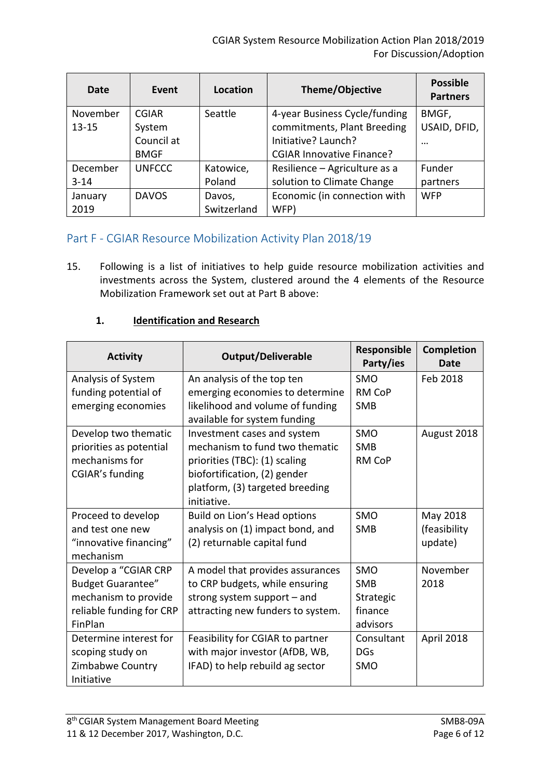| Date      | Event         | Location    | Theme/Objective                  | <b>Possible</b><br><b>Partners</b> |
|-----------|---------------|-------------|----------------------------------|------------------------------------|
| November  | <b>CGIAR</b>  | Seattle     | 4-year Business Cycle/funding    | BMGF,                              |
| $13 - 15$ | System        |             | commitments, Plant Breeding      | USAID, DFID,                       |
|           | Council at    |             | Initiative? Launch?              | $\cdots$                           |
|           | <b>BMGF</b>   |             | <b>CGIAR Innovative Finance?</b> |                                    |
| December  | <b>UNFCCC</b> | Katowice,   | Resilience - Agriculture as a    | Funder                             |
| $3 - 14$  |               | Poland      | solution to Climate Change       | partners                           |
| January   | <b>DAVOS</b>  | Davos,      | Economic (in connection with     | <b>WFP</b>                         |
| 2019      |               | Switzerland | WFP)                             |                                    |

## Part F - CGIAR Resource Mobilization Activity Plan 2018/19

15. Following is a list of initiatives to help guide resource mobilization activities and investments across the System, clustered around the 4 elements of the Resource Mobilization Framework set out at Part B above:

#### **1. Identification and Research**

| <b>Activity</b>          | <b>Output/Deliverable</b>         | Responsible<br>Party/ies | <b>Completion</b><br>Date |
|--------------------------|-----------------------------------|--------------------------|---------------------------|
| Analysis of System       | An analysis of the top ten        | <b>SMO</b>               | Feb 2018                  |
| funding potential of     | emerging economies to determine   | <b>RM CoP</b>            |                           |
| emerging economies       | likelihood and volume of funding  | <b>SMB</b>               |                           |
|                          | available for system funding      |                          |                           |
| Develop two thematic     | Investment cases and system       | <b>SMO</b>               | August 2018               |
| priorities as potential  | mechanism to fund two thematic    | <b>SMB</b>               |                           |
| mechanisms for           | priorities (TBC): (1) scaling     | RM CoP                   |                           |
| CGIAR's funding          | biofortification, (2) gender      |                          |                           |
|                          | platform, (3) targeted breeding   |                          |                           |
|                          | initiative.                       |                          |                           |
| Proceed to develop       | Build on Lion's Head options      | <b>SMO</b>               | May 2018                  |
| and test one new         | analysis on (1) impact bond, and  | <b>SMB</b>               | (feasibility              |
| "innovative financing"   | (2) returnable capital fund       |                          | update)                   |
| mechanism                |                                   |                          |                           |
| Develop a "CGIAR CRP     | A model that provides assurances  | <b>SMO</b>               | November                  |
| <b>Budget Guarantee"</b> | to CRP budgets, while ensuring    | <b>SMB</b>               | 2018                      |
| mechanism to provide     | strong system support - and       | Strategic                |                           |
| reliable funding for CRP | attracting new funders to system. | finance                  |                           |
| FinPlan                  |                                   | advisors                 |                           |
| Determine interest for   | Feasibility for CGIAR to partner  | Consultant               | April 2018                |
| scoping study on         | with major investor (AfDB, WB,    | <b>DGs</b>               |                           |
| Zimbabwe Country         | IFAD) to help rebuild ag sector   | <b>SMO</b>               |                           |
| Initiative               |                                   |                          |                           |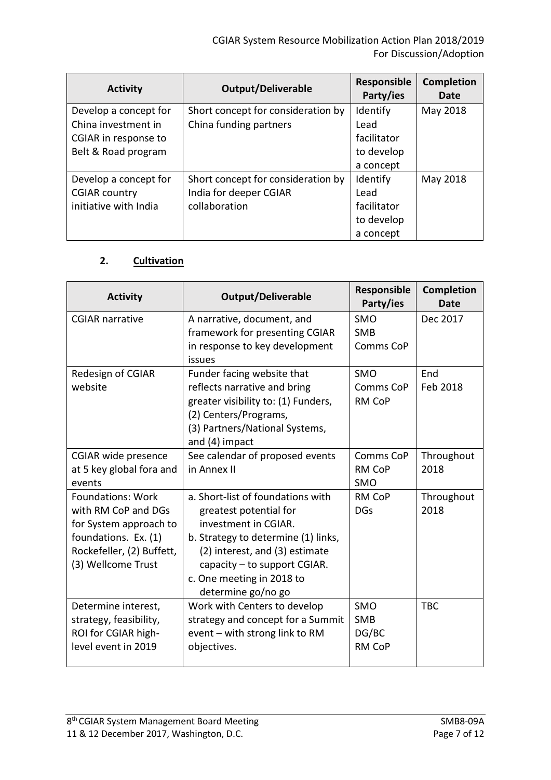| <b>Activity</b>       | <b>Output/Deliverable</b>          | <b>Responsible</b><br>Party/ies | <b>Completion</b><br>Date |
|-----------------------|------------------------------------|---------------------------------|---------------------------|
| Develop a concept for | Short concept for consideration by | Identify                        | May 2018                  |
| China investment in   | China funding partners             | Lead                            |                           |
| CGIAR in response to  |                                    | facilitator                     |                           |
| Belt & Road program   |                                    | to develop                      |                           |
|                       |                                    | a concept                       |                           |
| Develop a concept for | Short concept for consideration by | Identify                        | May 2018                  |
| <b>CGIAR country</b>  | India for deeper CGIAR             | Lead                            |                           |
| initiative with India | collaboration                      | facilitator                     |                           |
|                       |                                    | to develop                      |                           |
|                       |                                    | a concept                       |                           |

#### **2. Cultivation**

| <b>Activity</b>            | <b>Output/Deliverable</b>                       | Responsible<br>Party/ies | <b>Completion</b><br>Date |
|----------------------------|-------------------------------------------------|--------------------------|---------------------------|
| <b>CGIAR narrative</b>     | A narrative, document, and                      | <b>SMO</b>               | Dec 2017                  |
|                            | framework for presenting CGIAR                  | <b>SMB</b>               |                           |
|                            | in response to key development<br>issues        | Comms CoP                |                           |
| Redesign of CGIAR          | Funder facing website that                      | SMO                      | End                       |
| website                    | reflects narrative and bring                    | Comms CoP                | Feb 2018                  |
|                            | greater visibility to: (1) Funders,             | RM CoP                   |                           |
|                            | (2) Centers/Programs,                           |                          |                           |
|                            | (3) Partners/National Systems,                  |                          |                           |
|                            | and (4) impact                                  |                          |                           |
| <b>CGIAR wide presence</b> | See calendar of proposed events                 | Comms CoP                | Throughout                |
| at 5 key global fora and   | in Annex II                                     | RM CoP                   | 2018                      |
| events                     |                                                 | <b>SMO</b>               |                           |
| <b>Foundations: Work</b>   | a. Short-list of foundations with               | <b>RM CoP</b>            | Throughout                |
| with RM CoP and DGs        | greatest potential for                          | <b>DGs</b>               | 2018                      |
| for System approach to     | investment in CGIAR.                            |                          |                           |
| foundations. Ex. (1)       | b. Strategy to determine (1) links,             |                          |                           |
| Rockefeller, (2) Buffett,  | (2) interest, and (3) estimate                  |                          |                           |
| (3) Wellcome Trust         | capacity $-$ to support CGIAR.                  |                          |                           |
|                            | c. One meeting in 2018 to<br>determine go/no go |                          |                           |
| Determine interest,        | Work with Centers to develop                    | SMO                      | <b>TBC</b>                |
| strategy, feasibility,     | strategy and concept for a Summit               | <b>SMB</b>               |                           |
| ROI for CGIAR high-        | event - with strong link to RM                  | DG/BC                    |                           |
| level event in 2019        | objectives.                                     | <b>RM CoP</b>            |                           |
|                            |                                                 |                          |                           |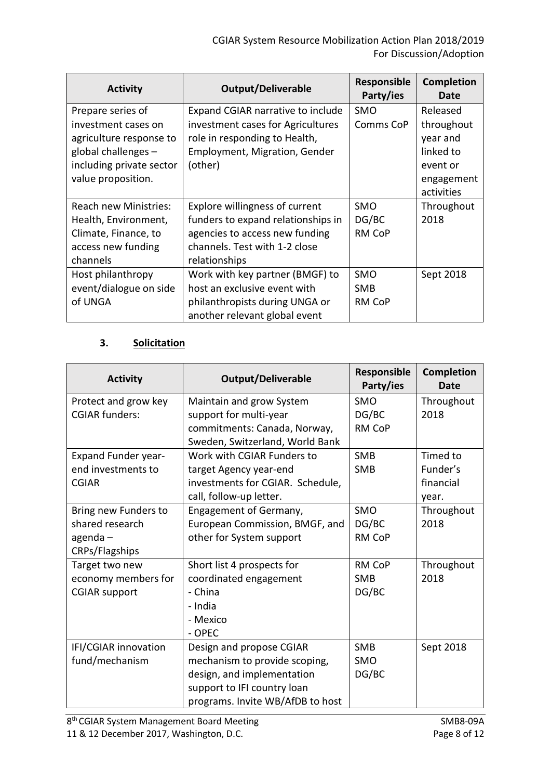| <b>Activity</b>              | <b>Output/Deliverable</b>            | <b>Responsible</b><br>Party/ies | Completion<br>Date |
|------------------------------|--------------------------------------|---------------------------------|--------------------|
| Prepare series of            | Expand CGIAR narrative to include    | <b>SMO</b>                      | Released           |
| investment cases on          | investment cases for Agricultures    | Comms CoP                       | throughout         |
| agriculture response to      | role in responding to Health,        |                                 | year and           |
| global challenges $-$        | <b>Employment, Migration, Gender</b> |                                 | linked to          |
| including private sector     | (other)                              |                                 | event or           |
| value proposition.           |                                      |                                 | engagement         |
|                              |                                      |                                 | activities         |
| <b>Reach new Ministries:</b> | Explore willingness of current       | <b>SMO</b>                      | Throughout         |
| Health, Environment,         | funders to expand relationships in   | DG/BC                           | 2018               |
| Climate, Finance, to         | agencies to access new funding       | RM CoP                          |                    |
| access new funding           | channels. Test with 1-2 close        |                                 |                    |
| channels                     | relationships                        |                                 |                    |
| Host philanthropy            | Work with key partner (BMGF) to      | <b>SMO</b>                      | Sept 2018          |
| event/dialogue on side       | host an exclusive event with         | <b>SMB</b>                      |                    |
| of UNGA                      | philanthropists during UNGA or       | RM CoP                          |                    |
|                              | another relevant global event        |                                 |                    |

### **3. Solicitation**

| <b>Activity</b>            | <b>Output/Deliverable</b>        | Responsible<br>Party/ies | <b>Completion</b><br>Date |
|----------------------------|----------------------------------|--------------------------|---------------------------|
| Protect and grow key       | Maintain and grow System         | <b>SMO</b>               | Throughout                |
| <b>CGIAR funders:</b>      | support for multi-year           | DG/BC                    | 2018                      |
|                            | commitments: Canada, Norway,     | <b>RM CoP</b>            |                           |
|                            | Sweden, Switzerland, World Bank  |                          |                           |
| <b>Expand Funder year-</b> | Work with CGIAR Funders to       | <b>SMB</b>               | Timed to                  |
| end investments to         | target Agency year-end           | <b>SMB</b>               | Funder's                  |
| <b>CGIAR</b>               | investments for CGIAR. Schedule, |                          | financial                 |
|                            | call, follow-up letter.          |                          | year.                     |
| Bring new Funders to       | Engagement of Germany,           | SMO                      | Throughout                |
| shared research            | European Commission, BMGF, and   | DG/BC                    | 2018                      |
| agenda-                    | other for System support         | <b>RM CoP</b>            |                           |
| CRPs/Flagships             |                                  |                          |                           |
| Target two new             | Short list 4 prospects for       | RM CoP                   | Throughout                |
| economy members for        | coordinated engagement           | <b>SMB</b>               | 2018                      |
| <b>CGIAR</b> support       | - China                          | DG/BC                    |                           |
|                            | - India                          |                          |                           |
|                            | - Mexico                         |                          |                           |
|                            | - OPEC                           |                          |                           |
| IFI/CGIAR innovation       | Design and propose CGIAR         | <b>SMB</b>               | Sept 2018                 |
| fund/mechanism             | mechanism to provide scoping,    | <b>SMO</b>               |                           |
|                            | design, and implementation       | DG/BC                    |                           |
|                            | support to IFI country loan      |                          |                           |
|                            | programs. Invite WB/AfDB to host |                          |                           |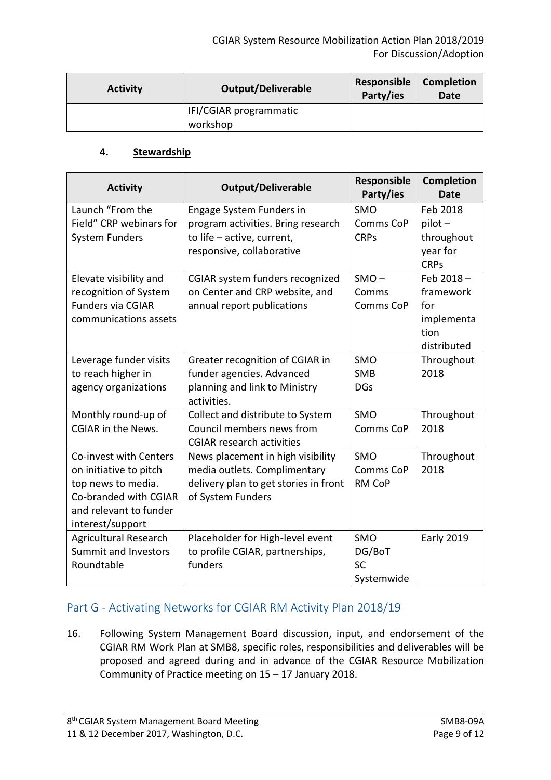| <b>Activity</b> | <b>Output/Deliverable</b> | Responsible<br>Party/ies | Completion<br>Date |
|-----------------|---------------------------|--------------------------|--------------------|
|                 | IFI/CGIAR programmatic    |                          |                    |
|                 | workshop                  |                          |                    |

#### **4. Stewardship**

| <b>Activity</b>              | <b>Output/Deliverable</b>                    | Responsible<br>Party/ies | <b>Completion</b><br><b>Date</b> |
|------------------------------|----------------------------------------------|--------------------------|----------------------------------|
| Launch "From the             | Engage System Funders in                     | SMO                      | Feb 2018                         |
| Field" CRP webinars for      | program activities. Bring research           | Comms CoP                | $pilot -$                        |
| <b>System Funders</b>        | to life - active, current,                   | <b>CRPs</b>              | throughout                       |
|                              | responsive, collaborative                    |                          | year for                         |
|                              |                                              |                          | <b>CRPs</b>                      |
| Elevate visibility and       | CGIAR system funders recognized              | $SMO -$                  | Feb 2018-                        |
| recognition of System        | on Center and CRP website, and               | Comms                    | framework                        |
| <b>Funders via CGIAR</b>     | annual report publications                   | Comms CoP                | for                              |
| communications assets        |                                              |                          | implementa                       |
|                              |                                              |                          | tion                             |
|                              |                                              |                          | distributed                      |
| Leverage funder visits       | Greater recognition of CGIAR in              | SMO                      | Throughout                       |
| to reach higher in           | funder agencies. Advanced                    | <b>SMB</b>               | 2018                             |
| agency organizations         | planning and link to Ministry<br>activities. | <b>DGs</b>               |                                  |
| Monthly round-up of          | Collect and distribute to System             | SMO                      | Throughout                       |
| <b>CGIAR</b> in the News.    | Council members news from                    | Comms CoP                | 2018                             |
|                              | <b>CGIAR research activities</b>             |                          |                                  |
| Co-invest with Centers       | News placement in high visibility            | <b>SMO</b>               | Throughout                       |
| on initiative to pitch       | media outlets. Complimentary                 | Comms CoP                | 2018                             |
| top news to media.           | delivery plan to get stories in front        | <b>RM CoP</b>            |                                  |
| Co-branded with CGIAR        | of System Funders                            |                          |                                  |
| and relevant to funder       |                                              |                          |                                  |
| interest/support             |                                              |                          |                                  |
| <b>Agricultural Research</b> | Placeholder for High-level event             | SMO                      | <b>Early 2019</b>                |
| <b>Summit and Investors</b>  | to profile CGIAR, partnerships,              | DG/BoT                   |                                  |
| Roundtable                   | funders                                      | <b>SC</b>                |                                  |
|                              |                                              | Systemwide               |                                  |

## Part G - Activating Networks for CGIAR RM Activity Plan 2018/19

16. Following System Management Board discussion, input, and endorsement of the CGIAR RM Work Plan at SMB8, specific roles, responsibilities and deliverables will be proposed and agreed during and in advance of the CGIAR Resource Mobilization Community of Practice meeting on 15 – 17 January 2018.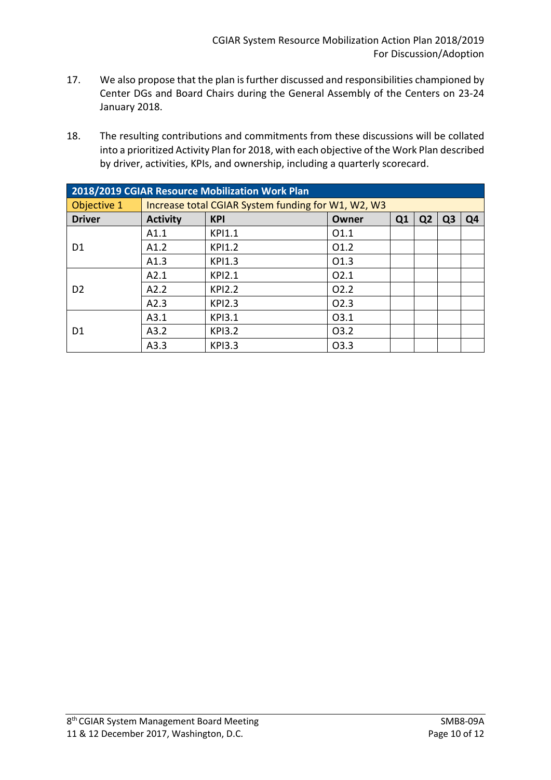- 17. We also propose that the plan is further discussed and responsibilities championed by Center DGs and Board Chairs during the General Assembly of the Centers on 23-24 January 2018.
- 18. The resulting contributions and commitments from these discussions will be collated into a prioritized Activity Plan for 2018, with each objective of the Work Plan described by driver, activities, KPIs, and ownership, including a quarterly scorecard.

| 2018/2019 CGIAR Resource Mobilization Work Plan |                 |                                                    |                  |    |                |                |    |
|-------------------------------------------------|-----------------|----------------------------------------------------|------------------|----|----------------|----------------|----|
| <b>Objective 1</b>                              |                 | Increase total CGIAR System funding for W1, W2, W3 |                  |    |                |                |    |
| <b>Driver</b>                                   | <b>Activity</b> | <b>KPI</b>                                         | Owner            | Q1 | Q <sub>2</sub> | Q <sub>3</sub> | Q4 |
|                                                 | A1.1            | <b>KPI1.1</b>                                      | 01.1             |    |                |                |    |
| D1                                              | A1.2            | <b>KPI1.2</b>                                      | 01.2             |    |                |                |    |
|                                                 | A1.3            | <b>KPI1.3</b>                                      | 01.3             |    |                |                |    |
|                                                 | A2.1            | <b>KPI2.1</b>                                      | 02.1             |    |                |                |    |
| D <sub>2</sub>                                  | A2.2            | <b>KPI2.2</b>                                      | O <sub>2.2</sub> |    |                |                |    |
|                                                 | A2.3            | <b>KPI2.3</b>                                      | O <sub>2.3</sub> |    |                |                |    |
| D1                                              | A3.1            | <b>KPI3.1</b>                                      | 03.1             |    |                |                |    |
|                                                 | A3.2            | <b>KPI3.2</b>                                      | 03.2             |    |                |                |    |
|                                                 | A3.3            | <b>KPI3.3</b>                                      | 03.3             |    |                |                |    |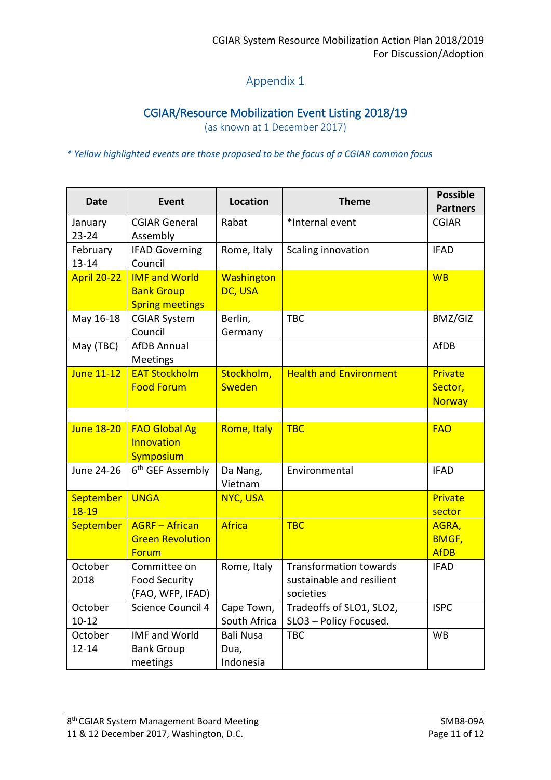## Appendix 1

## CGIAR/Resource Mobilization Event Listing 2018/19

(as known at 1 December 2017)

*\* Yellow highlighted events are those proposed to be the focus of a CGIAR common focus*

| <b>Date</b>            | <b>Event</b>                                                        | Location                              | <b>Theme</b>                                                            | <b>Possible</b><br><b>Partners</b>   |
|------------------------|---------------------------------------------------------------------|---------------------------------------|-------------------------------------------------------------------------|--------------------------------------|
| January<br>$23 - 24$   | <b>CGIAR General</b><br>Assembly                                    | Rabat                                 | *Internal event                                                         | <b>CGIAR</b>                         |
| February<br>$13 - 14$  | <b>IFAD Governing</b><br>Council                                    | Rome, Italy                           | Scaling innovation                                                      | <b>IFAD</b>                          |
| <b>April 20-22</b>     | <b>IMF and World</b><br><b>Bank Group</b><br><b>Spring meetings</b> | Washington<br>DC, USA                 |                                                                         | <b>WB</b>                            |
| May 16-18              | <b>CGIAR System</b><br>Council                                      | Berlin,<br>Germany                    | <b>TBC</b>                                                              | BMZ/GIZ                              |
| May (TBC)              | <b>AfDB Annual</b><br>Meetings                                      |                                       |                                                                         | <b>AfDB</b>                          |
| <b>June 11-12</b>      | <b>EAT Stockholm</b><br><b>Food Forum</b>                           | Stockholm,<br>Sweden                  | <b>Health and Environment</b>                                           | Private<br>Sector,<br><b>Norway</b>  |
|                        |                                                                     |                                       |                                                                         |                                      |
| <b>June 18-20</b>      | <b>FAO Global Ag</b><br><b>Innovation</b><br>Symposium              | Rome, Italy                           | <b>TBC</b>                                                              | <b>FAO</b>                           |
| <b>June 24-26</b>      | 6 <sup>th</sup> GEF Assembly                                        | Da Nang,<br>Vietnam                   | Environmental                                                           | <b>IFAD</b>                          |
| September<br>$18 - 19$ | <b>UNGA</b>                                                         | NYC, USA                              |                                                                         | Private<br>sector                    |
| September              | <b>AGRF - African</b><br><b>Green Revolution</b><br>Forum           | <b>Africa</b>                         | <b>TBC</b>                                                              | AGRA,<br><b>BMGF,</b><br><b>AfDB</b> |
| October<br>2018        | Committee on<br><b>Food Security</b><br>(FAO, WFP, IFAD)            | Rome, Italy                           | <b>Transformation towards</b><br>sustainable and resilient<br>societies | <b>IFAD</b>                          |
| October<br>$10 - 12$   | Science Council 4                                                   | Cape Town,<br>South Africa            | Tradeoffs of SLO1, SLO2,<br>SLO3 - Policy Focused.                      | <b>ISPC</b>                          |
| October<br>$12 - 14$   | <b>IMF and World</b><br><b>Bank Group</b><br>meetings               | <b>Bali Nusa</b><br>Dua,<br>Indonesia | <b>TBC</b>                                                              | <b>WB</b>                            |